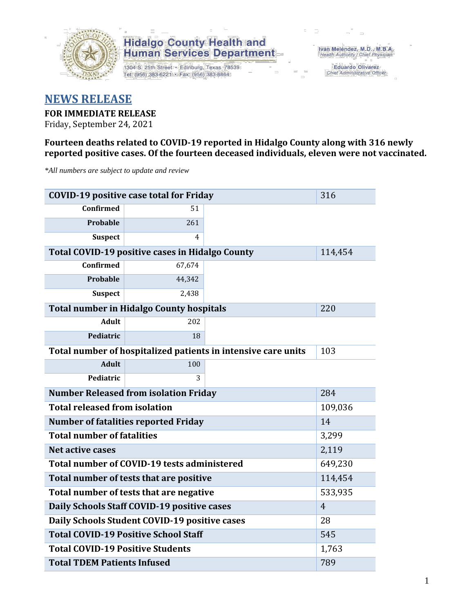

1304 S. 25th Street · Edinburg, Texas 78539 Tel: (956) 383-6221 · Fax: (956) 383-8864

Iván Meléndez, M.D., M.B.A. Health Authority / Chief Physician

> **Eduardo Olivarez** Chief Administrative Officer

#### **NEWS RELEASE**

#### **FOR IMMEDIATE RELEASE**

Friday, September 24, 2021

#### **Fourteen deaths related to COVID-19 reported in Hidalgo County along with 316 newly reported positive cases. Of the fourteen deceased individuals, eleven were not vaccinated.**

*\*All numbers are subject to update and review*

| <b>COVID-19 positive case total for Friday</b>    | 316                                                    |                                                               |         |  |  |  |  |
|---------------------------------------------------|--------------------------------------------------------|---------------------------------------------------------------|---------|--|--|--|--|
| <b>Confirmed</b>                                  | 51                                                     |                                                               |         |  |  |  |  |
| <b>Probable</b>                                   | 261                                                    |                                                               |         |  |  |  |  |
| <b>Suspect</b>                                    | 4                                                      |                                                               |         |  |  |  |  |
|                                                   | <b>Total COVID-19 positive cases in Hidalgo County</b> |                                                               | 114,454 |  |  |  |  |
| <b>Confirmed</b>                                  | 67,674                                                 |                                                               |         |  |  |  |  |
| Probable                                          | 44,342                                                 |                                                               |         |  |  |  |  |
| <b>Suspect</b>                                    | 2,438                                                  |                                                               |         |  |  |  |  |
|                                                   | <b>Total number in Hidalgo County hospitals</b>        |                                                               | 220     |  |  |  |  |
| <b>Adult</b>                                      | 202                                                    |                                                               |         |  |  |  |  |
| Pediatric                                         | 18                                                     |                                                               |         |  |  |  |  |
|                                                   |                                                        | Total number of hospitalized patients in intensive care units | 103     |  |  |  |  |
| <b>Adult</b>                                      | 100                                                    |                                                               |         |  |  |  |  |
| Pediatric                                         | 3                                                      |                                                               |         |  |  |  |  |
| <b>Number Released from isolation Friday</b>      | 284                                                    |                                                               |         |  |  |  |  |
| <b>Total released from isolation</b><br>109,036   |                                                        |                                                               |         |  |  |  |  |
| <b>Number of fatalities reported Friday</b><br>14 |                                                        |                                                               |         |  |  |  |  |
| <b>Total number of fatalities</b>                 |                                                        | 3,299                                                         |         |  |  |  |  |
| Net active cases                                  |                                                        |                                                               | 2,119   |  |  |  |  |
|                                                   | Total number of COVID-19 tests administered            |                                                               | 649,230 |  |  |  |  |
| Total number of tests that are positive           | 114,454                                                |                                                               |         |  |  |  |  |
| Total number of tests that are negative           | 533,935                                                |                                                               |         |  |  |  |  |
| Daily Schools Staff COVID-19 positive cases       | $\overline{4}$                                         |                                                               |         |  |  |  |  |
| Daily Schools Student COVID-19 positive cases     | 28                                                     |                                                               |         |  |  |  |  |
| <b>Total COVID-19 Positive School Staff</b>       | 545                                                    |                                                               |         |  |  |  |  |
| <b>Total COVID-19 Positive Students</b>           |                                                        | 1,763                                                         |         |  |  |  |  |
| <b>Total TDEM Patients Infused</b>                | 789                                                    |                                                               |         |  |  |  |  |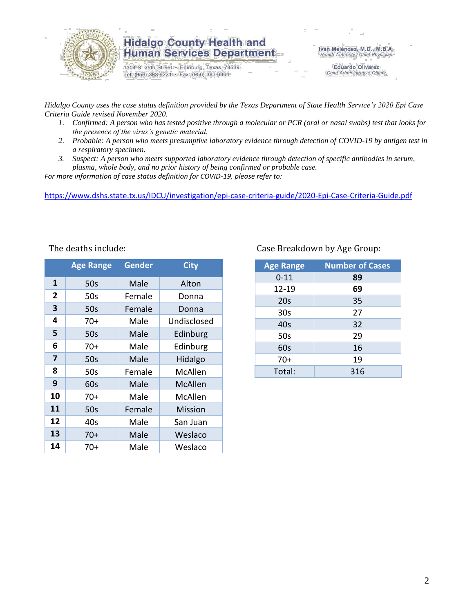

1304 S. 25th Street · Edinburg, Texas 78539 Tel: (956) 383-6221 · Fax: (956) 383-8864

Iván Meléndez, M.D., M.B.A. Health Authority / Chief Physician

> **Eduardo Olivarez** Chief Administrative Officer

*Hidalgo County uses the case status definition provided by the Texas Department of State Health Service's 2020 Epi Case Criteria Guide revised November 2020.*

- *1. Confirmed: A person who has tested positive through a molecular or PCR (oral or nasal swabs) test that looks for the presence of the virus's genetic material.*
- *2. Probable: A person who meets presumptive laboratory evidence through detection of COVID-19 by antigen test in a respiratory specimen.*
- *3. Suspect: A person who meets supported laboratory evidence through detection of specific antibodies in serum, plasma, whole body, and no prior history of being confirmed or probable case.*

*For more information of case status definition for COVID-19, please refer to:*

<https://www.dshs.state.tx.us/IDCU/investigation/epi-case-criteria-guide/2020-Epi-Case-Criteria-Guide.pdf>

|                | <b>Age Range</b> | <b>Gender</b> | <b>City</b> |
|----------------|------------------|---------------|-------------|
| 1              | 50s              | Male          | Alton       |
| $\overline{2}$ | 50s              | Female        | Donna       |
| 3              | 50s              | Female        | Donna       |
| 4              | $70+$            | Male          | Undisclosed |
| 5              | 50s              | Male          | Edinburg    |
| 6              | $70+$            | Male          | Edinburg    |
| 7              | 50s              | Male          | Hidalgo     |
| 8              | 50s              | Female        | McAllen     |
| 9              | 60s              | Male          | McAllen     |
| 10             | $70+$            | Male          | McAllen     |
| 11             | 50s              | Female        | Mission     |
| 12             | 40s              | Male          | San Juan    |
| 13             | 70+              | Male          | Weslaco     |
| 14             | 70+              | Male          | Weslaco     |

#### The deaths include: The deaths include: Case Breakdown by Age Group:

| <b>Age Range</b> | <b>Number of Cases</b> |
|------------------|------------------------|
| $0 - 11$         | 89                     |
| 12-19            | 69                     |
| 20s              | 35                     |
| 30 <sub>s</sub>  | 27                     |
| 40s              | 32                     |
| 50s              | 29                     |
| 60s              | 16                     |
| $70+$            | 19                     |
| Total:           | 316                    |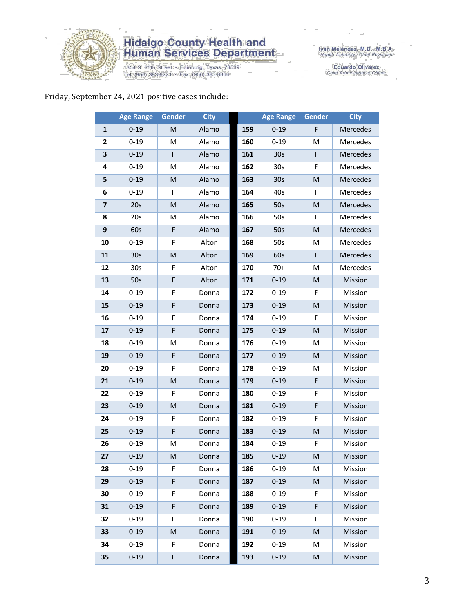

1304 S. 25th Street • Edinburg, Texas 78539<br>Tel: (956) 383-6221 • Fax: (956) 383-8864

Iván Meléndez, M.D., M.B.A.<br>Health Authority / Chief Physician

Eduardo Olivarez<br>Chief Administrative Officer

#### Friday, September 24, 2021 positive cases include:

|                | <b>Age Range</b> | <b>Gender</b> | <b>City</b> |     | <b>Age Range</b> | Gender    | <b>City</b> |
|----------------|------------------|---------------|-------------|-----|------------------|-----------|-------------|
| $\mathbf{1}$   | $0 - 19$         | M             | Alamo       | 159 | $0 - 19$         | F         | Mercedes    |
| 2              | $0 - 19$         | M             | Alamo       | 160 | $0 - 19$         | M         | Mercedes    |
| 3              | $0 - 19$         | F             | Alamo       | 161 | 30 <sub>s</sub>  | F         | Mercedes    |
| 4              | $0 - 19$         | M             | Alamo       | 162 | 30 <sub>s</sub>  | F         | Mercedes    |
| 5              | $0 - 19$         | M             | Alamo       | 163 | 30 <sub>s</sub>  | M         | Mercedes    |
| 6              | $0 - 19$         | F             | Alamo       | 164 | 40s              | F         | Mercedes    |
| $\overline{7}$ | 20s              | $\mathsf{M}$  | Alamo       | 165 | 50s              | M         | Mercedes    |
| 8              | 20s              | M             | Alamo       | 166 | 50s              | F         | Mercedes    |
| 9              | 60s              | F             | Alamo       | 167 | 50s              | M         | Mercedes    |
| 10             | $0 - 19$         | F             | Alton       | 168 | 50s              | M         | Mercedes    |
| 11             | 30 <sub>s</sub>  | M             | Alton       | 169 | 60s              | F         | Mercedes    |
| 12             | 30 <sub>s</sub>  | F             | Alton       | 170 | $70+$            | M         | Mercedes    |
| 13             | 50s              | F             | Alton       | 171 | $0 - 19$         | M         | Mission     |
| 14             | $0 - 19$         | F             | Donna       | 172 | $0 - 19$         | F         | Mission     |
| 15             | $0 - 19$         | $\mathsf F$   | Donna       | 173 | $0 - 19$         | M         | Mission     |
| 16             | $0 - 19$         | F             | Donna       | 174 | $0 - 19$         | F         | Mission     |
| 17             | $0 - 19$         | F             | Donna       | 175 | $0 - 19$         | M         | Mission     |
| 18             | $0 - 19$         | M             | Donna       | 176 | $0 - 19$         | M         | Mission     |
| 19             | $0 - 19$         | F             | Donna       | 177 | $0 - 19$         | M         | Mission     |
| 20             | $0 - 19$         | F             | Donna       | 178 | $0 - 19$         | M         | Mission     |
| 21             | $0 - 19$         | M             | Donna       | 179 | $0 - 19$         | F         | Mission     |
| 22             | $0 - 19$         | F             | Donna       | 180 | $0 - 19$         | F         | Mission     |
| 23             | $0 - 19$         | M             | Donna       | 181 | $0 - 19$         | F         | Mission     |
| 24             | $0 - 19$         | F             | Donna       | 182 | $0 - 19$         | F         | Mission     |
| 25             | $0 - 19$         | F             | Donna       | 183 | $0 - 19$         | M         | Mission     |
| 26             | $0 - 19$         | M             | Donna       | 184 | $0 - 19$         | F         | Mission     |
| 27             | $0 - 19$         | ${\sf M}$     | Donna       | 185 | $0 - 19$         | ${\sf M}$ | Mission     |
| 28             | $0 - 19$         | F.            | Donna       | 186 | $0 - 19$         | M         | Mission     |
| 29             | $0 - 19$         | F             | Donna       | 187 | $0 - 19$         | M         | Mission     |
| 30             | $0 - 19$         | F             | Donna       | 188 | $0 - 19$         | F         | Mission     |
| 31             | $0 - 19$         | F             | Donna       | 189 | $0 - 19$         | F         | Mission     |
| 32             | $0 - 19$         | F             | Donna       | 190 | $0 - 19$         | F         | Mission     |
| 33             | $0 - 19$         | M             | Donna       | 191 | $0 - 19$         | M         | Mission     |
| 34             | $0 - 19$         | F             | Donna       | 192 | $0 - 19$         | M         | Mission     |
| 35             | $0 - 19$         | F             | Donna       | 193 | $0 - 19$         | M         | Mission     |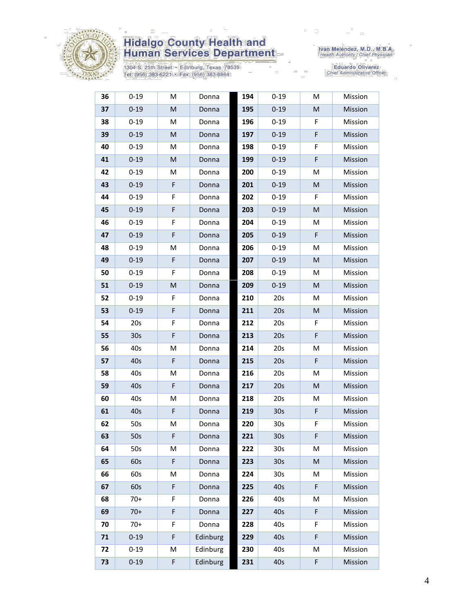

1304 S. 25th Street • Edinburg, Texas 78539<br>Tel: (956) 383-6221 • Fax: (956) 383-8864

Iván Meléndez, M.D., M.B.A.<br>Health Authority / Chief Physician

Eduardo Olivarez<br>Chief Administrative Officer

| 36 | $0 - 19$        | M           | Donna    | 194 | $0 - 19$        | M         | Mission |
|----|-----------------|-------------|----------|-----|-----------------|-----------|---------|
| 37 | $0 - 19$        | M           | Donna    | 195 | $0 - 19$        | ${\sf M}$ | Mission |
| 38 | $0 - 19$        | М           | Donna    | 196 | $0 - 19$        | F         | Mission |
| 39 | $0 - 19$        | M           | Donna    | 197 | $0 - 19$        | F         | Mission |
| 40 | $0 - 19$        | M           | Donna    | 198 | $0 - 19$        | F         | Mission |
| 41 | $0 - 19$        | M           | Donna    | 199 | $0 - 19$        | F         | Mission |
| 42 | $0 - 19$        | М           | Donna    | 200 | $0 - 19$        | M         | Mission |
| 43 | $0 - 19$        | F           | Donna    | 201 | $0 - 19$        | M         | Mission |
| 44 | $0 - 19$        | F           | Donna    | 202 | $0 - 19$        | F         | Mission |
| 45 | $0 - 19$        | F           | Donna    | 203 | $0 - 19$        | M         | Mission |
| 46 | $0 - 19$        | F           | Donna    | 204 | $0 - 19$        | M         | Mission |
| 47 | $0 - 19$        | F           | Donna    | 205 | $0 - 19$        | F         | Mission |
| 48 | $0 - 19$        | M           | Donna    | 206 | $0 - 19$        | M         | Mission |
| 49 | $0 - 19$        | $\mathsf F$ | Donna    | 207 | $0 - 19$        | M         | Mission |
| 50 | $0 - 19$        | F           | Donna    | 208 | $0 - 19$        | M         | Mission |
| 51 | $0 - 19$        | M           | Donna    | 209 | $0 - 19$        | M         | Mission |
| 52 | $0 - 19$        | F           | Donna    | 210 | 20s             | M         | Mission |
| 53 | $0 - 19$        | $\mathsf F$ | Donna    | 211 | 20s             | M         | Mission |
| 54 | 20s             | F           | Donna    | 212 | 20s             | F         | Mission |
| 55 | 30 <sub>s</sub> | $\mathsf F$ | Donna    | 213 | 20s             | F         | Mission |
| 56 | 40s             | М           | Donna    | 214 | 20s             | M         | Mission |
| 57 | 40s             | F           | Donna    | 215 | 20s             | F         | Mission |
| 58 | 40s             | M           | Donna    | 216 | 20s             | M         | Mission |
| 59 | 40s             | F           | Donna    | 217 | 20s             | M         | Mission |
| 60 | 40s             | M           | Donna    | 218 | 20s             | M         | Mission |
| 61 | 40s             | $\mathsf F$ | Donna    | 219 | 30 <sub>s</sub> | F         | Mission |
| 62 | 50s             | М           | Donna    | 220 | 30 <sub>s</sub> | F         | Mission |
| 63 | 50s             | F           | Donna    | 221 | 30s             | F         | Mission |
| 64 | 50s             | М           | Donna    | 222 | 30 <sub>s</sub> | М         | Mission |
| 65 | 60s             | $\mathsf F$ | Donna    | 223 | 30 <sub>s</sub> | M         | Mission |
| 66 | 60s             | М           | Donna    | 224 | 30s             | M         | Mission |
| 67 | 60s             | F           | Donna    | 225 | 40s             | F         | Mission |
| 68 | $70+$           | F           | Donna    | 226 | 40s             | M         | Mission |
| 69 | $70+$           | F           | Donna    | 227 | 40s             | F         | Mission |
| 70 | $70+$           | F           | Donna    | 228 | 40s             | F         | Mission |
| 71 | $0 - 19$        | F           | Edinburg | 229 | 40s             | F         | Mission |
| 72 | $0 - 19$        | Μ           | Edinburg | 230 | 40s             | M         | Mission |
| 73 | $0 - 19$        | F           | Edinburg | 231 | 40s             | F         | Mission |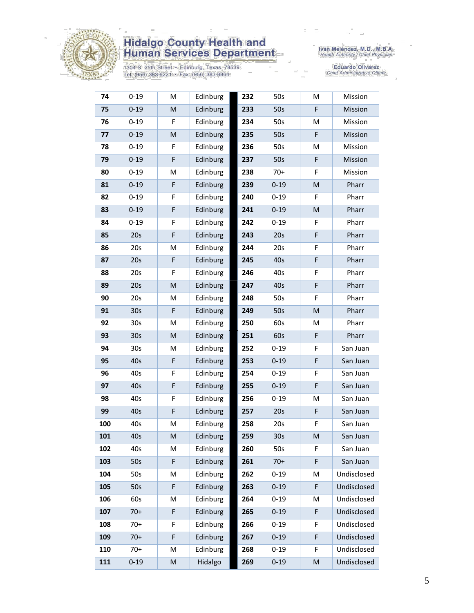

1304 S. 25th Street • Edinburg, Texas 78539<br>Tel: (956) 383-6221 • Fax: (956) 383-8864

Iván Meléndez, M.D., M.B.A.<br>Health Authority / Chief Physician

Eduardo Olivarez<br>Chief Administrative Officer

| 74  | $0 - 19$        | M           | Edinburg | 232 | 50s             | M                                                                                                          | Mission     |
|-----|-----------------|-------------|----------|-----|-----------------|------------------------------------------------------------------------------------------------------------|-------------|
| 75  | $0 - 19$        | M           | Edinburg | 233 | 50s             | F                                                                                                          | Mission     |
| 76  | $0 - 19$        | F           | Edinburg | 234 | 50s             | M                                                                                                          | Mission     |
| 77  | $0 - 19$        | M           | Edinburg | 235 | 50s             | F                                                                                                          | Mission     |
| 78  | $0 - 19$        | F           | Edinburg | 236 | 50s             | M                                                                                                          | Mission     |
| 79  | $0 - 19$        | F           | Edinburg | 237 | 50s             | F                                                                                                          | Mission     |
| 80  | $0 - 19$        | M           | Edinburg | 238 | $70+$           | F                                                                                                          | Mission     |
| 81  | $0 - 19$        | F           | Edinburg | 239 | $0 - 19$        | $\mathsf{M}% _{T}=\mathsf{M}_{T}\!\left( a,b\right) ,\ \mathsf{M}_{T}=\mathsf{M}_{T}\!\left( a,b\right) ,$ | Pharr       |
| 82  | $0 - 19$        | F           | Edinburg | 240 | $0 - 19$        | F                                                                                                          | Pharr       |
| 83  | $0 - 19$        | F           | Edinburg | 241 | $0 - 19$        | ${\sf M}$                                                                                                  | Pharr       |
| 84  | $0 - 19$        | F           | Edinburg | 242 | $0 - 19$        | F                                                                                                          | Pharr       |
| 85  | 20s             | F           | Edinburg | 243 | 20s             | F                                                                                                          | Pharr       |
| 86  | 20s             | M           | Edinburg | 244 | 20s             | F                                                                                                          | Pharr       |
| 87  | 20s             | $\mathsf F$ | Edinburg | 245 | 40s             | F                                                                                                          | Pharr       |
| 88  | 20s             | F           | Edinburg | 246 | 40s             | F                                                                                                          | Pharr       |
| 89  | 20s             | M           | Edinburg | 247 | 40s             | F                                                                                                          | Pharr       |
| 90  | 20s             | M           | Edinburg | 248 | 50s             | F                                                                                                          | Pharr       |
| 91  | 30 <sub>s</sub> | F           | Edinburg | 249 | 50s             | M                                                                                                          | Pharr       |
| 92  | 30 <sub>s</sub> | M           | Edinburg | 250 | 60s             | M                                                                                                          | Pharr       |
| 93  | 30 <sub>s</sub> | M           | Edinburg | 251 | 60s             | F                                                                                                          | Pharr       |
| 94  | 30 <sub>s</sub> | M           | Edinburg | 252 | $0 - 19$        | F                                                                                                          | San Juan    |
| 95  | 40s             | F           | Edinburg | 253 | $0 - 19$        | F                                                                                                          | San Juan    |
| 96  | 40s             | F           | Edinburg | 254 | $0 - 19$        | F                                                                                                          | San Juan    |
| 97  | 40s             | F           | Edinburg | 255 | $0 - 19$        | F                                                                                                          | San Juan    |
| 98  | 40s             | F           | Edinburg | 256 | $0 - 19$        | M                                                                                                          | San Juan    |
| 99  | 40s             | F           | Edinburg | 257 | 20s             | F                                                                                                          | San Juan    |
| 100 | 40s             | M           | Edinburg | 258 | 20s             | F                                                                                                          | San Juan    |
| 101 | 40s             | M           | Edinburg | 259 | 30 <sub>s</sub> | M                                                                                                          | San Juan    |
| 102 | 40s             | M           | Edinburg | 260 | 50s             | F                                                                                                          | San Juan    |
| 103 | 50s             | F           | Edinburg | 261 | $70+$           | F                                                                                                          | San Juan    |
| 104 | 50s             | M           | Edinburg | 262 | $0 - 19$        | M                                                                                                          | Undisclosed |
| 105 | 50s             | F           | Edinburg | 263 | $0 - 19$        | F                                                                                                          | Undisclosed |
| 106 | 60s             | M           | Edinburg | 264 | $0 - 19$        | M                                                                                                          | Undisclosed |
| 107 | $70+$           | F           | Edinburg | 265 | $0 - 19$        | F                                                                                                          | Undisclosed |
| 108 | $70+$           | F           | Edinburg | 266 | $0 - 19$        | F                                                                                                          | Undisclosed |
| 109 | $70+$           | F           | Edinburg | 267 | $0 - 19$        | F                                                                                                          | Undisclosed |
| 110 | $70+$           | M           | Edinburg | 268 | $0 - 19$        | F                                                                                                          | Undisclosed |
| 111 | $0 - 19$        | M           | Hidalgo  | 269 | $0 - 19$        | ${\sf M}$                                                                                                  | Undisclosed |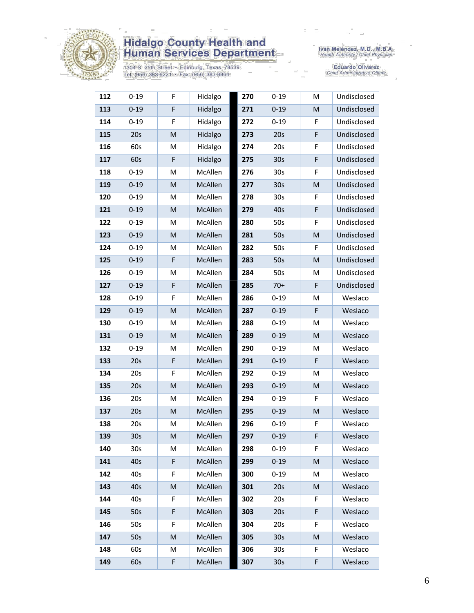

1304 S. 25th Street • Edinburg, Texas 78539<br>Tel: (956) 383-6221 • Fax: (956) 383-8864

Iván Meléndez, M.D., M.B.A.<br>Health Authority / Chief Physician

Eduardo Olivarez<br>Chief Administrative Officer

| 112 | $0 - 19$        | F           | Hidalgo | 270 | $0 - 19$        | M | Undisclosed |
|-----|-----------------|-------------|---------|-----|-----------------|---|-------------|
| 113 | $0 - 19$        | F           | Hidalgo | 271 | $0 - 19$        | M | Undisclosed |
| 114 | $0 - 19$        | F           | Hidalgo | 272 | $0 - 19$        | F | Undisclosed |
| 115 | 20s             | M           | Hidalgo | 273 | 20s             | F | Undisclosed |
| 116 | 60s             | M           | Hidalgo | 274 | 20s             | F | Undisclosed |
| 117 | 60s             | $\mathsf F$ | Hidalgo | 275 | 30s             | F | Undisclosed |
| 118 | $0 - 19$        | M           | McAllen | 276 | 30 <sub>s</sub> | F | Undisclosed |
| 119 | $0 - 19$        | M           | McAllen | 277 | 30 <sub>s</sub> | M | Undisclosed |
| 120 | $0 - 19$        | M           | McAllen | 278 | 30 <sub>s</sub> | F | Undisclosed |
| 121 | $0 - 19$        | M           | McAllen | 279 | 40s             | F | Undisclosed |
| 122 | $0 - 19$        | M           | McAllen | 280 | 50s             | F | Undisclosed |
| 123 | $0 - 19$        | M           | McAllen | 281 | 50s             | M | Undisclosed |
| 124 | $0 - 19$        | M           | McAllen | 282 | 50s             | F | Undisclosed |
| 125 | $0 - 19$        | $\mathsf F$ | McAllen | 283 | 50s             | M | Undisclosed |
| 126 | $0 - 19$        | M           | McAllen | 284 | 50s             | M | Undisclosed |
| 127 | $0 - 19$        | $\mathsf F$ | McAllen | 285 | $70+$           | F | Undisclosed |
| 128 | $0 - 19$        | F           | McAllen | 286 | $0 - 19$        | M | Weslaco     |
| 129 | $0 - 19$        | M           | McAllen | 287 | $0 - 19$        | F | Weslaco     |
| 130 | $0 - 19$        | M           | McAllen | 288 | $0 - 19$        | M | Weslaco     |
| 131 | $0 - 19$        | M           | McAllen | 289 | $0 - 19$        | M | Weslaco     |
| 132 | $0 - 19$        | M           | McAllen | 290 | $0 - 19$        | M | Weslaco     |
| 133 | 20s             | $\mathsf F$ | McAllen | 291 | $0 - 19$        | F | Weslaco     |
| 134 | 20s             | $\mathsf F$ | McAllen | 292 | $0 - 19$        | M | Weslaco     |
| 135 | 20s             | M           | McAllen | 293 | $0 - 19$        | M | Weslaco     |
| 136 | 20s             | M           | McAllen | 294 | $0 - 19$        | F | Weslaco     |
| 137 | 20s             | M           | McAllen | 295 | $0 - 19$        | M | Weslaco     |
| 138 | 20s             | M           | McAllen | 296 | $0 - 19$        | F | Weslaco     |
| 139 | 30s             | M           | McAllen | 297 | $0 - 19$        | F | Weslaco     |
| 140 | 30 <sub>s</sub> | М           | McAllen | 298 | $0 - 19$        | F | Weslaco     |
| 141 | 40s             | F           | McAllen | 299 | $0 - 19$        | M | Weslaco     |
| 142 | 40s             | F           | McAllen | 300 | $0 - 19$        | M | Weslaco     |
| 143 | 40s             | M           | McAllen | 301 | 20s             | M | Weslaco     |
| 144 | 40s             | F           | McAllen | 302 | 20s             | F | Weslaco     |
| 145 | 50s             | F           | McAllen | 303 | 20s             | F | Weslaco     |
| 146 | 50s             | F           | McAllen | 304 | 20s             | F | Weslaco     |
| 147 | 50s             | M           | McAllen | 305 | 30 <sub>s</sub> | M | Weslaco     |
| 148 | 60s             | Μ           | McAllen | 306 | 30 <sub>s</sub> | F | Weslaco     |
| 149 | 60s             | F           | McAllen | 307 | 30 <sub>s</sub> | F | Weslaco     |